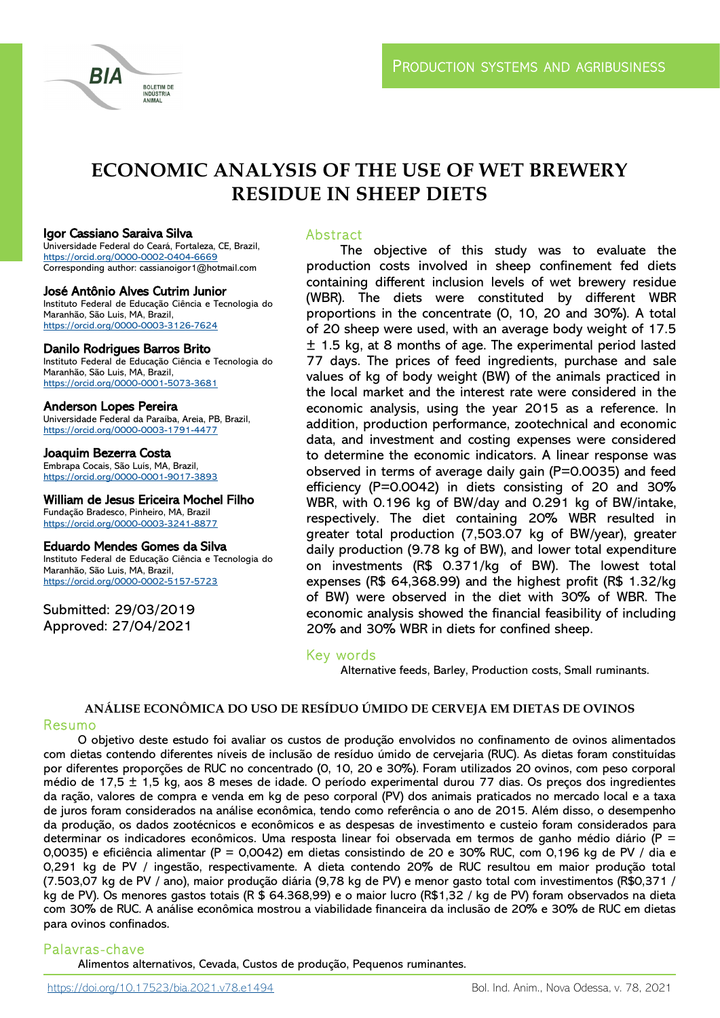

# **ECONOMIC ANALYSIS OF THE USE OF WET BREWERY RESIDUE IN SHEEP DIETS**

#### Igor Cassiano Saraiva Silva

Universidade Federal do Ceará, Fortaleza, CE, Brazil, <https://orcid.org/0000-0002-0404-6669> Corresponding author: cassianoigor1@hotmail.com

#### José Antônio Alves Cutrim Junior

Instituto Federal de Educação Ciência e Tecnologia do Maranhão, São Luis, MA, Brazil, <https://orcid.org/0000-0003-3126-7624>

#### Danilo Rodrigues Barros Brito

Instituto Federal de Educação Ciência e Tecnologia do Maranhão, São Luis, MA, Brazil, <https://orcid.org/0000-0001-5073-3681>

#### Anderson Lopes Pereira

Universidade Federal da Paraíba, Areia, PB, Brazil, <https://orcid.org/0000-0003-1791-4477>

Joaquim Bezerra Costa Embrapa Cocais, São Luís, MA, Brazil, <https://orcid.org/0000-0001-9017-3893>

#### William de Jesus Ericeira Mochel Filho

Fundação Bradesco, Pinheiro, MA, Brazil <https://orcid.org/0000-0003-3241-8877>

#### Eduardo Mendes Gomes da Silva

Instituto Federal de Educação Ciência e Tecnologia do Maranhão, São Luis, MA, Brazil, <https://orcid.org/0000-0002-5157-5723>

Submitted: 29/03/2019 Approved: 27/04/2021

## Abstract

The objective of this study was to evaluate the production costs involved in sheep confinement fed diets containing different inclusion levels of wet brewery residue (WBR). The diets were constituted by different WBR proportions in the concentrate (0, 10, 20 and 30%). A total of 20 sheep were used, with an average body weight of 17.5 ± 1.5 kg, at 8 months of age. The experimental period lasted 77 days. The prices of feed ingredients, purchase and sale values of kg of body weight (BW) of the animals practiced in the local market and the interest rate were considered in the economic analysis, using the year 2015 as a reference. In addition, production performance, zootechnical and economic data, and investment and costing expenses were considered to determine the economic indicators. A linear response was observed in terms of average daily gain (P=0.0035) and feed efficiency (P=0.0042) in diets consisting of 20 and 30% WBR, with 0.196 kg of BW/day and 0.291 kg of BW/intake, respectively. The diet containing 20% WBR resulted in greater total production (7,503.07 kg of BW/year), greater daily production (9.78 kg of BW), and lower total expenditure on investments (R\$ 0.371/kg of BW). The lowest total expenses (R\$ 64,368.99) and the highest profit (R\$ 1.32/kg of BW) were observed in the diet with 30% of WBR. The economic analysis showed the financial feasibility of including 20% and 30% WBR in diets for confined sheep.

# Key words

Alternative feeds, Barley, Production costs, Small ruminants.

## **ANÁLISE ECONÔMICA DO USO DE RESÍDUO ÚMIDO DE CERVEJA EM DIETAS DE OVINOS**

## Resumo

O objetivo deste estudo foi avaliar os custos de produção envolvidos no confinamento de ovinos alimentados com dietas contendo diferentes níveis de inclusão de resíduo úmido de cervejaria (RUC). As dietas foram constituídas por diferentes proporções de RUC no concentrado (0, 10, 20 e 30%). Foram utilizados 20 ovinos, com peso corporal médio de 17,5 ± 1,5 kg, aos 8 meses de idade. O período experimental durou 77 dias. Os preços dos ingredientes da ração, valores de compra e venda em kg de peso corporal (PV) dos animais praticados no mercado local e a taxa de juros foram considerados na análise econômica, tendo como referência o ano de 2015. Além disso, o desempenho da produção, os dados zootécnicos e econômicos e as despesas de investimento e custeio foram considerados para determinar os indicadores econômicos. Uma resposta linear foi observada em termos de ganho médio diário (P = 0,0035) e eficiência alimentar (P = 0,0042) em dietas consistindo de 20 e 30% RUC, com 0,196 kg de PV / dia e 0,291 kg de PV / ingestão, respectivamente. A dieta contendo 20% de RUC resultou em maior produção total (7.503,07 kg de PV / ano), maior produção diária (9,78 kg de PV) e menor gasto total com investimentos (R\$0,371 / kg de PV). Os menores gastos totais (R \$ 64.368,99) e o maior lucro (R\$1,32 / kg de PV) foram observados na dieta com 30% de RUC. A análise econômica mostrou a viabilidade financeira da inclusão de 20% e 30% de RUC em dietas para ovinos confinados.

## Palavras -chave

Alimentos alternativos, Cevada, Custos de produção, Pequenos ruminantes.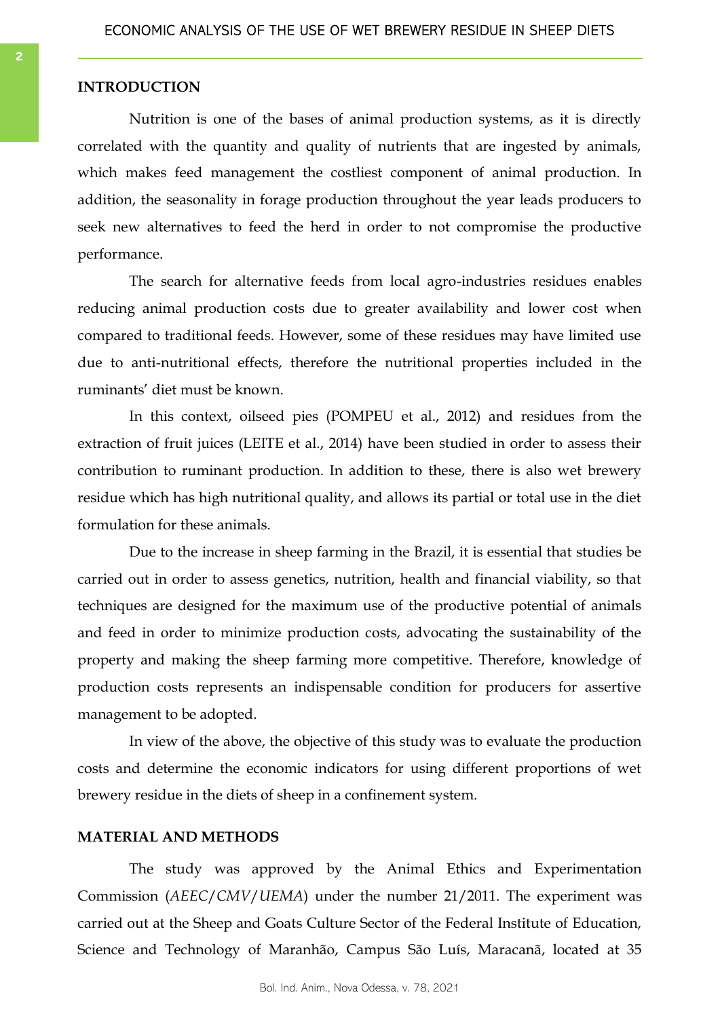# **INTRODUCTION**

Nutrition is one of the bases of animal production systems, as it is directly correlated with the quantity and quality of nutrients that are ingested by animals, which makes feed management the costliest component of animal production. In addition, the seasonality in forage production throughout the year leads producers to seek new alternatives to feed the herd in order to not compromise the productive performance.

The search for alternative feeds from local agro-industries residues enables reducing animal production costs due to greater availability and lower cost when compared to traditional feeds. However, some of these residues may have limited use due to anti-nutritional effects, therefore the nutritional properties included in the ruminants' diet must be known.

In this context, oilseed pies (POMPEU et al., 2012) and residues from the extraction of fruit juices (LEITE et al., 2014) have been studied in order to assess their contribution to ruminant production. In addition to these, there is also wet brewery residue which has high nutritional quality, and allows its partial or total use in the diet formulation for these animals.

Due to the increase in sheep farming in the Brazil, it is essential that studies be carried out in order to assess genetics, nutrition, health and financial viability, so that techniques are designed for the maximum use of the productive potential of animals and feed in order to minimize production costs, advocating the sustainability of the property and making the sheep farming more competitive. Therefore, knowledge of production costs represents an indispensable condition for producers for assertive management to be adopted.

In view of the above, the objective of this study was to evaluate the production costs and determine the economic indicators for using different proportions of wet brewery residue in the diets of sheep in a confinement system.

## **MATERIAL AND METHODS**

The study was approved by the Animal Ethics and Experimentation Commission (*AEEC*/*CMV*/*UEMA*) under the number 21/2011. The experiment was carried out at the Sheep and Goats Culture Sector of the Federal Institute of Education, Science and Technology of Maranhão, Campus São Luís, Maracanã, located at 35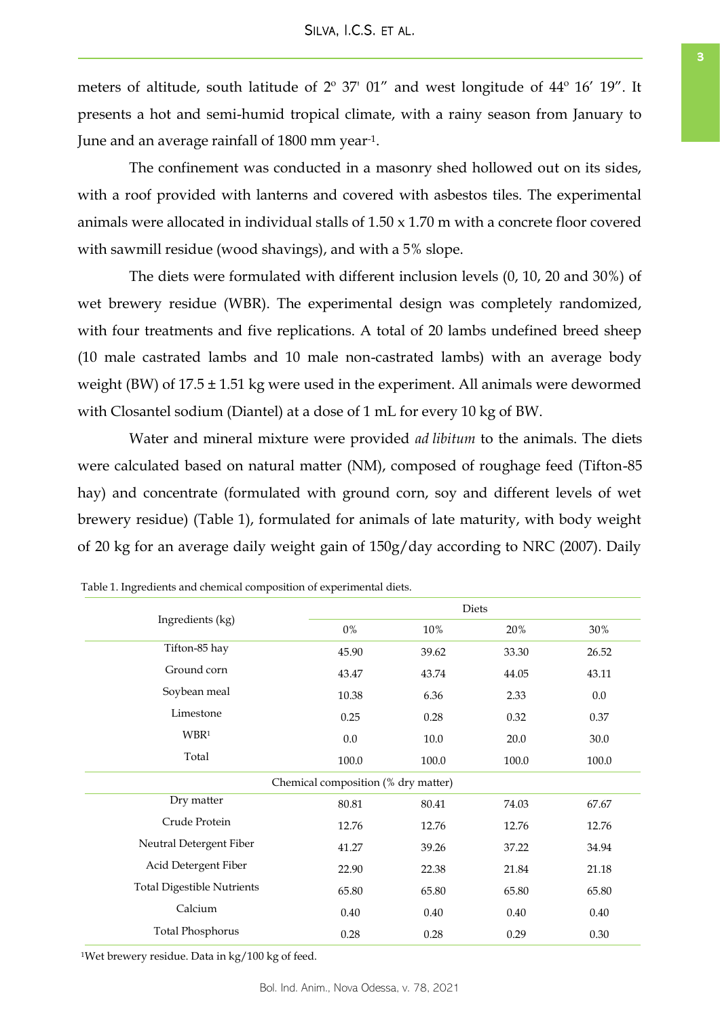<span id="page-2-0"></span>meters of altitude, south latitude of 2º 37' 01" and west longitude of 44º 16' 19". It presents a hot and semi-humid tropical climate, with a rainy season from January to June and an average rainfall of 1800 mm year-1.

The confinement was conducted in a masonry shed hollowed out on its sides, with a roof provided with lanterns and covered with asbestos tiles. The experimental animals were allocated in individual stalls of 1.50 x 1.70 m with a concrete floor covered with sawmill residue (wood shavings), and with a 5% slope.

The diets were formulated with different inclusion levels (0, 10, 20 and 30%) of wet brewery residue (WBR). The experimental design was completely randomized, with four treatments and five replications. A total of 20 lambs undefined breed sheep (10 male castrated lambs and 10 male non-castrated lambs) with an average body weight (BW) of  $17.5 \pm 1.51$  kg were used in the experiment. All animals were dewormed with Closantel sodium (Diantel) at a dose of 1 mL for every 10 kg of BW.

Water and mineral mixture were provided *ad libitum* to the animals. The diets were calculated based on natural matter (NM), composed of roughage feed (Tifton-85 hay) and concentrate (formulated with ground corn, soy and different levels of wet brewery residue) (Table 1), formulated for animals of late maturity, with body weight of 20 kg for an average daily weight gain of 150g/day according to NRC (2007). Daily

|                                   |                                     | Diets |       |          |
|-----------------------------------|-------------------------------------|-------|-------|----------|
| Ingredients (kg)                  | $0\%$                               | 10%   | 20%   | 30%      |
| Tifton-85 hay                     | 45.90                               | 39.62 | 33.30 | 26.52    |
| Ground corn                       | 43.47                               | 43.74 | 44.05 | 43.11    |
| Soybean meal                      | 10.38                               | 6.36  | 2.33  | 0.0      |
| Limestone                         | 0.25                                | 0.28  | 0.32  | 0.37     |
| WBR <sup>1</sup>                  | 0.0                                 | 10.0  | 20.0  | 30.0     |
| Total                             | 100.0                               | 100.0 | 100.0 | 100.0    |
|                                   | Chemical composition (% dry matter) |       |       |          |
| Dry matter                        | 80.81                               | 80.41 | 74.03 | 67.67    |
| Crude Protein                     | 12.76                               | 12.76 | 12.76 | 12.76    |
| Neutral Detergent Fiber           | 41.27                               | 39.26 | 37.22 | 34.94    |
| Acid Detergent Fiber              | 22.90                               | 22.38 | 21.84 | 21.18    |
| <b>Total Digestible Nutrients</b> | 65.80                               | 65.80 | 65.80 | 65.80    |
| Calcium                           | 0.40                                | 0.40  | 0.40  | 0.40     |
| <b>Total Phosphorus</b>           | 0.28                                | 0.28  | 0.29  | $0.30\,$ |

Table 1. Ingredients and chemical composition of experimental diets.

<sup>1</sup>Wet brewery residue. Data in kg/100 kg of feed.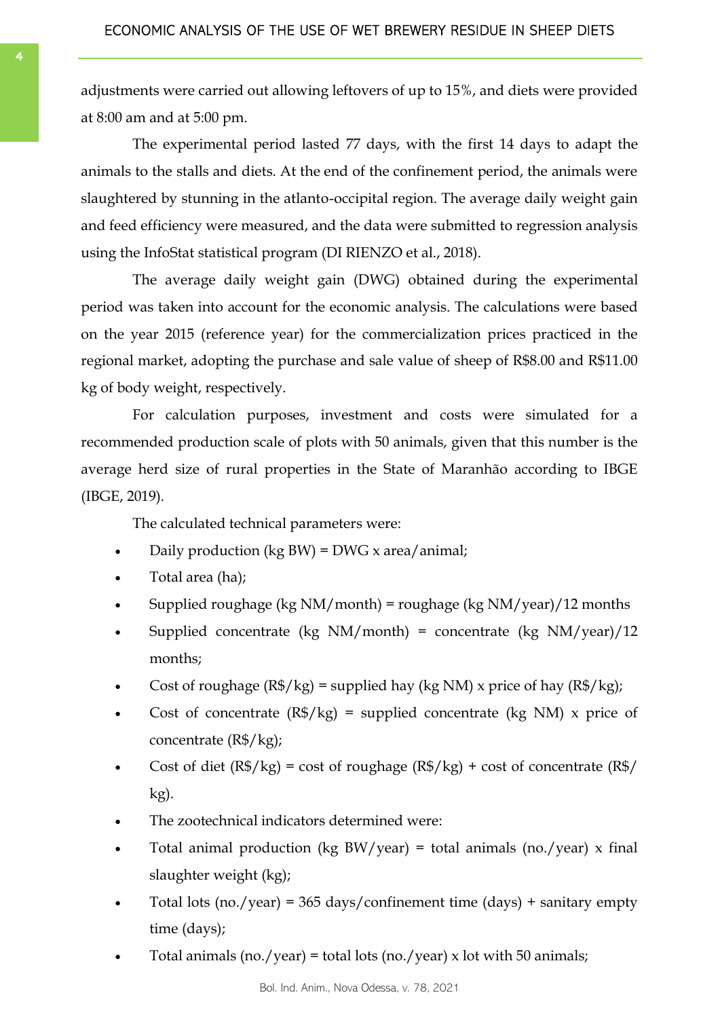adjustments were carried out allowing leftovers of up to 15%, and diets were provided at 8:00 am and at 5:00 pm.

The experimental period lasted 77 days, with the first 14 days to adapt the animals to the stalls and diets. At the end of the confinement period, the animals were slaughtered by stunning in the atlanto-occipital region. The average daily weight gain and feed efficiency were measured, and the data were submitted to regression analysis using the InfoStat statistical program (DI RIENZO et al., 2018).

The average daily weight gain (DWG) obtained during the experimental period was taken into account for the economic analysis. The calculations were based on the year 2015 (reference year) for the commercialization prices practiced in the regional market, adopting the purchase and sale value of sheep of R\$8.00 and R\$11.00 kg of body weight, respectively.

For calculation purposes, investment and costs were simulated for a recommended production scale of plots with 50 animals, given that this number is the average herd size of rural properties in the State of Maranhão according to IBGE (IBGE, 2019).

The calculated technical parameters were:

- Daily production (kg BW) = DWG  $x$  area/animal;
- Total area (ha);
- Supplied roughage (kg  $NM/morth$ ) = roughage (kg  $NM/year$ )/12 months
- Supplied concentrate (kg  $NM/morth$ ) = concentrate (kg  $NM/year)/12$ months;
- Cost of roughage  $(R\$/kg)$  = supplied hay (kg NM) x price of hay  $(R\$/kg)$ ;
- Cost of concentrate  $(R\$/kg)$  = supplied concentrate (kg NM) x price of concentrate (R\$/kg);
- Cost of diet  $(R\$/kg) = \text{cost of roughage} (R\$/kg) + \text{cost of concentrate} (R\$/kg)$ kg).
- The zootechnical indicators determined were:
- Total animal production (kg BW/year) = total animals (no./year)  $x$  final slaughter weight (kg);
- Total lots (no./year) = 365 days/confinement time (days) + sanitary empty time (days);
- Total animals (no./year) = total lots (no./year) x lot with 50 animals;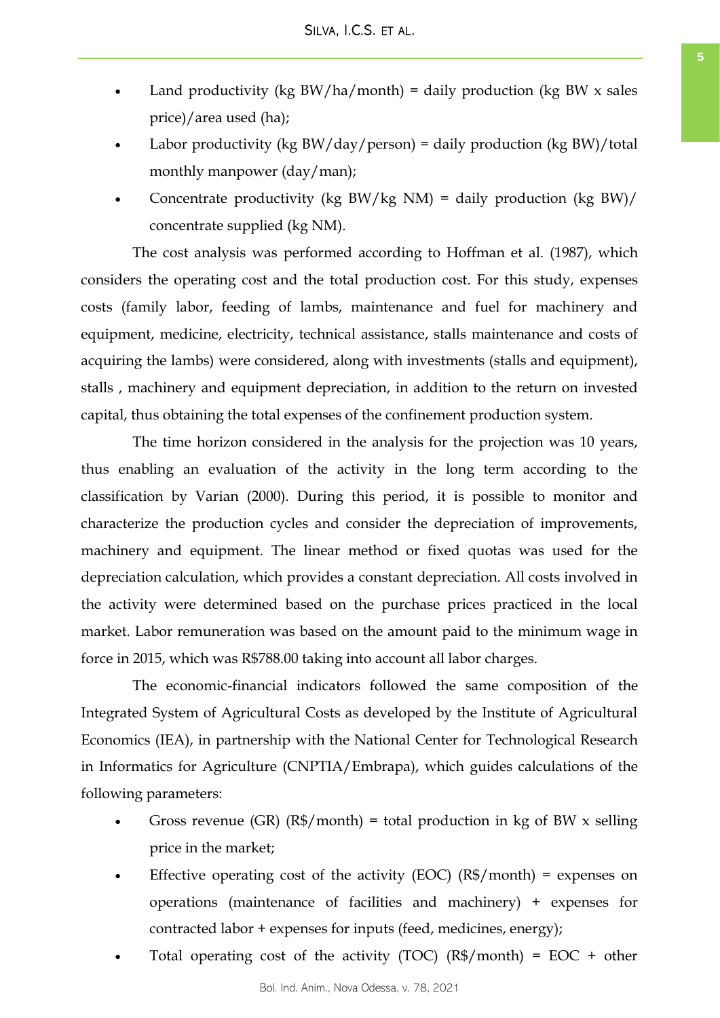- Land productivity (kg BW/ha/month) = daily production (kg BW  $x$  sales price)/area used (ha);
- Labor productivity (kg  $BW/day/person) = daily production (kg BW)/total$ monthly manpower (day/man);
- Concentrate productivity (kg BW/kg NM) = daily production (kg BW)/ concentrate supplied (kg NM).

The cost analysis was performed according to Hoffman et al. (1987), which considers the operating cost and the total production cost. For this study, expenses costs (family labor, feeding of lambs, maintenance and fuel for machinery and equipment, medicine, electricity, technical assistance, stalls maintenance and costs of acquiring the lambs) were considered, along with investments (stalls and equipment), stalls , machinery and equipment depreciation, in addition to the return on invested capital, thus obtaining the total expenses of the confinement production system.

The time horizon considered in the analysis for the projection was 10 years, thus enabling an evaluation of the activity in the long term according to the classification by Varian (2000). During this period, it is possible to monitor and characterize the production cycles and consider the depreciation of improvements, machinery and equipment. The linear method or fixed quotas was used for the depreciation calculation, which provides a constant depreciation. All costs involved in the activity were determined based on the purchase prices practiced in the local market. Labor remuneration was based on the amount paid to the minimum wage in force in 2015, which was R\$788.00 taking into account all labor charges.

The economic-financial indicators followed the same composition of the Integrated System of Agricultural Costs as developed by the Institute of Agricultural Economics (IEA), in partnership with the National Center for Technological Research in Informatics for Agriculture (CNPTIA/Embrapa), which guides calculations of the following parameters:

- Gross revenue (GR) ( $\mathbb{R}$ \$/month) = total production in kg of BW x selling price in the market;
- Effective operating cost of the activity (EOC) ( $R\$/$ month) = expenses on operations (maintenance of facilities and machinery) + expenses for contracted labor + expenses for inputs (feed, medicines, energy);
- Total operating cost of the activity (TOC)  $(R\$/month) = EOC + other$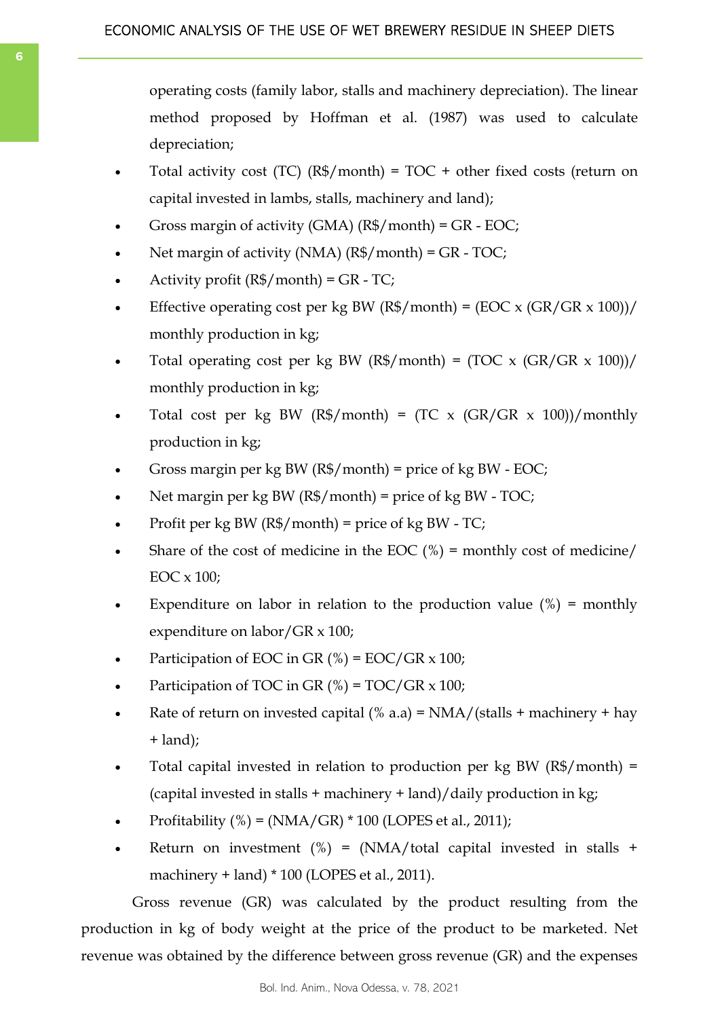operating costs (family labor, stalls and machinery depreciation). The linear method proposed by Hoffman et al. (1987) was used to calculate depreciation;

- Total activity cost (TC) ( $R\$/$ month) = TOC + other fixed costs (return on capital invested in lambs, stalls, machinery and land);
- Gross margin of activity (GMA) (R\$/month) = GR EOC;
- Net margin of activity (NMA) (R\$/month) = GR TOC;
- Activity profit  $(R\$/month) = GR TC;$
- Effective operating cost per kg BW (R\$/month) = (EOC x (GR/GR x 100))/ monthly production in kg;
- Total operating cost per kg BW (R\$/month) = (TOC x (GR/GR x 100))/ monthly production in kg;
- Total cost per kg BW (R\$/month) = (TC x (GR/GR  $\times$  100))/monthly production in kg;
- Gross margin per kg BW  $(R\$/month)$  = price of kg BW EOC;
- Net margin per kg BW  $(R\$/$  month) = price of kg BW TOC;
- Profit per kg BW ( $R\$/$ month) = price of kg BW TC;
- Share of the cost of medicine in the EOC  $(\%)$  = monthly cost of medicine/ EOC x 100;
- Expenditure on labor in relation to the production value  $(\%)$  = monthly expenditure on labor/GR x 100;
- Participation of EOC in GR  $(\%)$  = EOC/GR x 100;
- Participation of TOC in GR  $(\%)$  = TOC/GR x 100;
- Rate of return on invested capital (% a.a) =  $NMA/(stalls + machinery + hay)$ + land);
- Total capital invested in relation to production per kg BW (R\$/month) = (capital invested in stalls + machinery + land)/daily production in kg;
- Profitability (%) = (NMA/GR) \* 100 (LOPES et al., 2011);
- Return on investment  $(\%) = (NMA/total$  capital invested in stalls + machinery + land) \* 100 (LOPES et al., 2011).

Gross revenue (GR) was calculated by the product resulting from the production in kg of body weight at the price of the product to be marketed. Net revenue was obtained by the difference between gross revenue (GR) and the expenses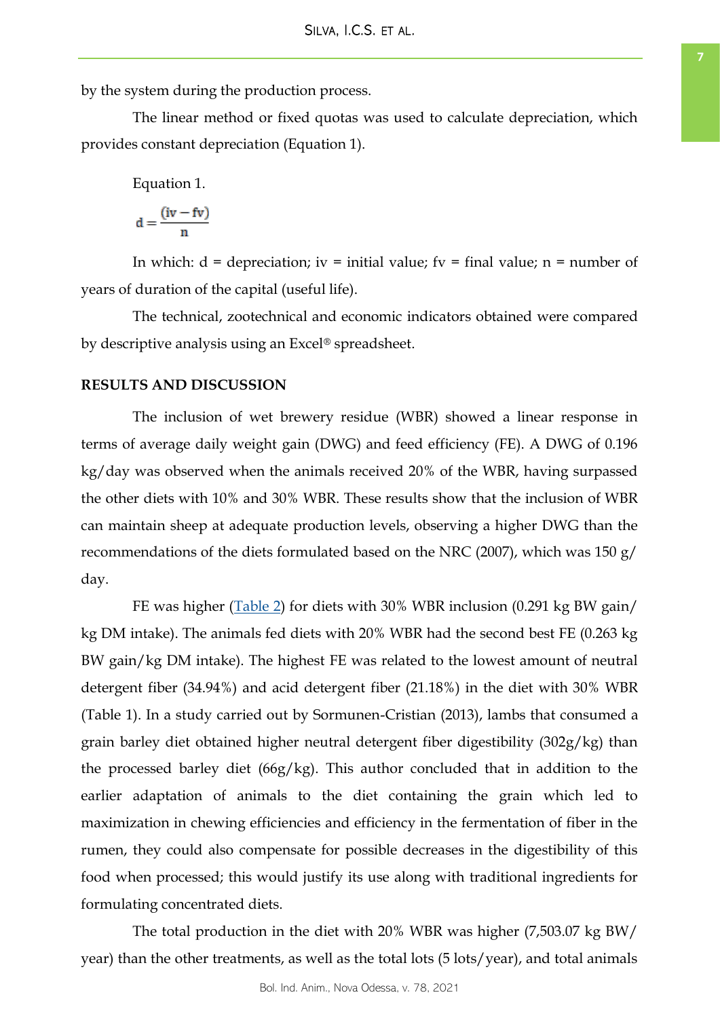by the system during the production process.

The linear method or fixed quotas was used to calculate depreciation, which provides constant depreciation (Equation 1).

Equation 1.

$$
d = \frac{(iv - fv)}{n}
$$

In which:  $d =$  depreciation; iv = initial value; fv = final value; n = number of years of duration of the capital (useful life).

The technical, zootechnical and economic indicators obtained were compared by descriptive analysis using an Excel® spreadsheet.

## **RESULTS AND DISCUSSION**

The inclusion of wet brewery residue (WBR) showed a linear response in terms of average daily weight gain (DWG) and feed efficiency (FE). A DWG of 0.196 kg/day was observed when the animals received 20% of the WBR, having surpassed the other diets with 10% and 30% WBR. These results show that the inclusion of WBR can maintain sheep at adequate production levels, observing a higher DWG than the recommendations of the diets formulated based on the NRC (2007), which was 150 g/ day.

FE was higher [\(Table 2\)](#page-7-0) for diets with 30% WBR inclusion (0.291 kg BW gain/ kg DM intake). The animals fed diets with 20% WBR had the second best FE (0.263 kg BW gain/kg DM intake). The highest FE was related to the lowest amount of neutral detergent fiber (34.94%) and acid detergent fiber (21.18%) in the diet with 30% WBR (Table 1). In a study carried out by Sormunen-Cristian (2013), lambs that consumed a grain barley diet obtained higher neutral detergent fiber digestibility (302g/kg) than the processed barley diet (66g/kg). This author concluded that in addition to the earlier adaptation of animals to the diet containing the grain which led to maximization in chewing efficiencies and efficiency in the fermentation of fiber in the rumen, they could also compensate for possible decreases in the digestibility of this food when processed; this would justify its use along with traditional ingredients for formulating concentrated diets.

The total production in the diet with 20% WBR was higher (7,503.07 kg BW/ year) than the other treatments, as well as the total lots (5 lots/year), and total animals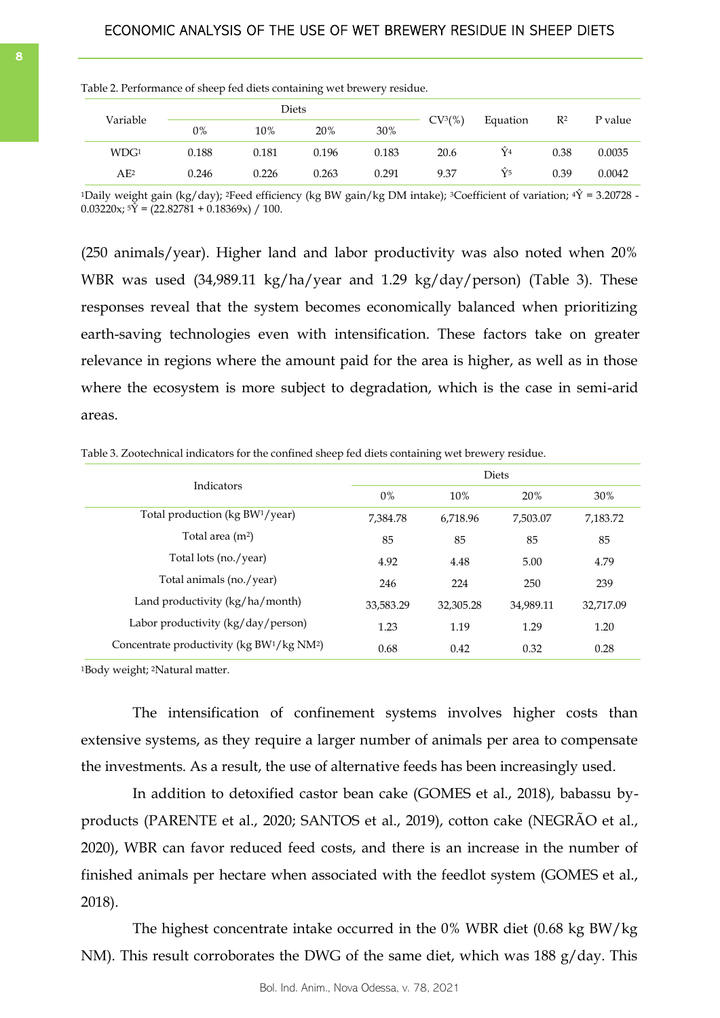|                  | Diets |       |       |       |                     |                      |       |         |
|------------------|-------|-------|-------|-------|---------------------|----------------------|-------|---------|
| Variable         | 0%    | 10%   | 20%   | 30%   | CV <sup>3</sup> (%) | Equation             | $R^2$ | P value |
| WDG <sup>1</sup> | 0.188 | 0.181 | 0.196 | 0.183 | 20.6                | Ŷ4                   | 0.38  | 0.0035  |
| AE <sup>2</sup>  | 0.246 | 0.226 | 0.263 | 0.291 | 9.37                | $\hat{\mathsf{Y}}$ 5 | 0.39  | 0.0042  |

<span id="page-7-0"></span>Table 2. Performance of sheep fed diets containing wet brewery residue.

<sup>1</sup>Daily weight gain (kg/day); <sup>2</sup>Feed efficiency (kg BW gain/kg DM intake); <sup>3</sup>Coefficient of variation; <sup>4</sup> $\hat{Y}$  = 3.20728 - $0.03220x; 5\bar{Y} = (22.82781 + 0.18369x) / 100.$ 

(250 animals/year). Higher land and labor productivity was also noted when 20% WBR was used (34,989.11 kg/ha/year and 1.29 kg/day/person) (Table 3). These responses reveal that the system becomes economically balanced when prioritizing earth-saving technologies even with intensification. These factors take on greater relevance in regions where the amount paid for the area is higher, as well as in those where the ecosystem is more subject to degradation, which is the case in semi-arid areas.

Table 3. Zootechnical indicators for the confined sheep fed diets containing wet brewery residue.

|                                                                    | <b>Diets</b> |           |           |           |  |  |
|--------------------------------------------------------------------|--------------|-----------|-----------|-----------|--|--|
| Indicators                                                         | 0%           | 10%       | 20%       | 30%       |  |  |
| Total production ( $kg BW1/year$ )                                 | 7.384.78     | 6.718.96  | 7,503.07  | 7,183.72  |  |  |
| Total area $(m2)$                                                  | 85           | 85        | 85        | 85        |  |  |
| Total lots (no./year)                                              | 4.92         | 4.48      | 5.00      | 4.79      |  |  |
| Total animals (no./year)                                           | 246          | 224       | 250       | 239       |  |  |
| Land productivity $(kg/ha/month)$                                  | 33,583.29    | 32,305.28 | 34,989.11 | 32,717.09 |  |  |
| Labor productivity $\frac{kg}{day}$ person)                        | 1.23         | 1.19      | 1.29      | 1.20      |  |  |
| Concentrate productivity (kg BW <sup>1</sup> /kg NM <sup>2</sup> ) | 0.68         | 0.42      | 0.32      | 0.28      |  |  |

<sup>1</sup>Body weight; 2Natural matter.

The intensification of confinement systems involves higher costs than extensive systems, as they require a larger number of animals per area to compensate the investments. As a result, the use of alternative feeds has been increasingly used.

In addition to detoxified castor bean cake (GOMES et al., 2018), babassu byproducts (PARENTE et al., 2020; SANTOS et al., 2019), cotton cake (NEGRÃO et al., 2020), WBR can favor reduced feed costs, and there is an increase in the number of finished animals per hectare when associated with the feedlot system (GOMES et al., 2018).

The highest concentrate intake occurred in the 0% WBR diet (0.68 kg BW/kg NM). This result corroborates the DWG of the same diet, which was 188 g/day. This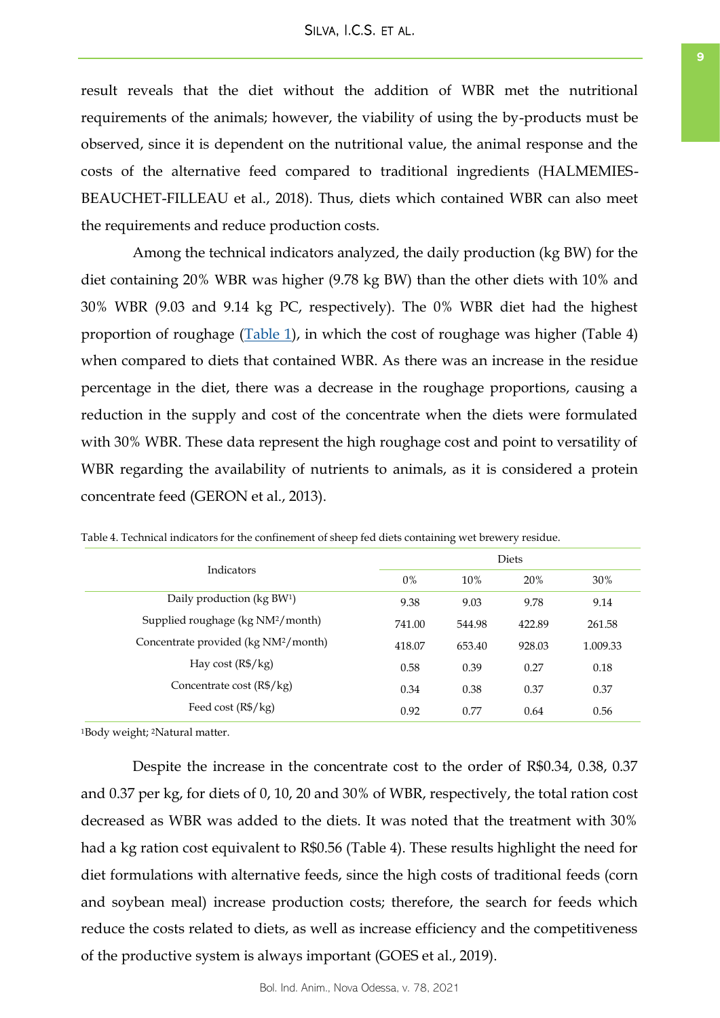result reveals that the diet without the addition of WBR met the nutritional requirements of the animals; however, the viability of using the by-products must be observed, since it is dependent on the nutritional value, the animal response and the costs of the alternative feed compared to traditional ingredients (HALMEMIES-BEAUCHET-FILLEAU et al., 2018). Thus, diets which contained WBR can also meet the requirements and reduce production costs.

Among the technical indicators analyzed, the daily production (kg BW) for the diet containing 20% WBR was higher (9.78 kg BW) than the other diets with 10% and 30% WBR (9.03 and 9.14 kg PC, respectively). The 0% WBR diet had the highest proportion of roughage  $(Table 1)$  $(Table 1)$ , in which the cost of roughage was higher (Table 4) when compared to diets that contained WBR. As there was an increase in the residue percentage in the diet, there was a decrease in the roughage proportions, causing a reduction in the supply and cost of the concentrate when the diets were formulated with 30% WBR. These data represent the high roughage cost and point to versatility of WBR regarding the availability of nutrients to animals, as it is considered a protein concentrate feed (GERON et al., 2013).

| Indicators                                       | <b>Diets</b> |        |        |          |  |
|--------------------------------------------------|--------------|--------|--------|----------|--|
|                                                  | $0\%$        | 10%    | 20%    | 30%      |  |
| Daily production (kg BW <sup>1</sup> )           | 9.38         | 9.03   | 9.78   | 9.14     |  |
| Supplied roughage (kg NM <sup>2</sup> /month)    | 741.00       | 544.98 | 422.89 | 261.58   |  |
| Concentrate provided (kg NM <sup>2</sup> /month) | 418.07       | 653.40 | 928.03 | 1.009.33 |  |
| Hay cost $(R\$/kg)$                              | 0.58         | 0.39   | 0.27   | 0.18     |  |
| Concentrate cost $(R\frac{6}{3} / kg)$           | 0.34         | 0.38   | 0.37   | 0.37     |  |
| Feed cost $(R\$/kg)$                             | 0.92         | 0.77   | 0.64   | 0.56     |  |

Table 4. Technical indicators for the confinement of sheep fed diets containing wet brewery residue.

<sup>1</sup>Body weight; 2Natural matter.

Despite the increase in the concentrate cost to the order of R\$0.34, 0.38, 0.37 and 0.37 per kg, for diets of 0, 10, 20 and 30% of WBR, respectively, the total ration cost decreased as WBR was added to the diets. It was noted that the treatment with 30% had a kg ration cost equivalent to R\$0.56 (Table 4). These results highlight the need for diet formulations with alternative feeds, since the high costs of traditional feeds (corn and soybean meal) increase production costs; therefore, the search for feeds which reduce the costs related to diets, as well as increase efficiency and the competitiveness of the productive system is always important (GOES et al., 2019).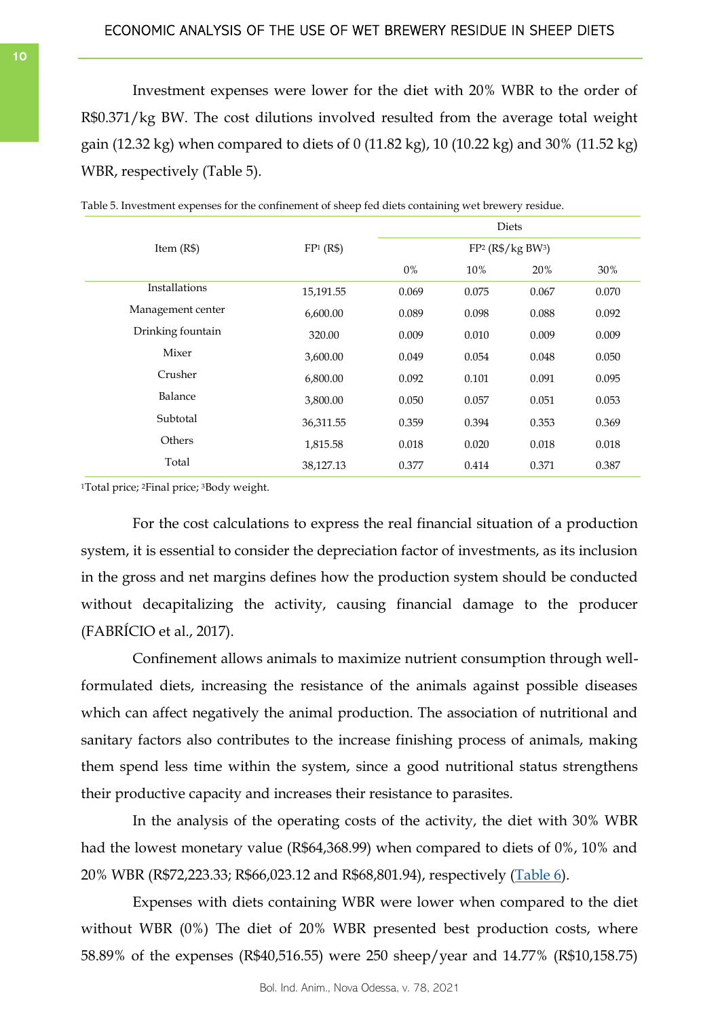Investment expenses were lower for the diet with 20% WBR to the order of R\$0.371/kg BW. The cost dilutions involved resulted from the average total weight gain (12.32 kg) when compared to diets of 0 (11.82 kg), 10 (10.22 kg) and 30% (11.52 kg) WBR, respectively (Table 5).

|                   |           | Diets |       |                                 |       |  |
|-------------------|-----------|-------|-------|---------------------------------|-------|--|
| Item $(R$)$       | FP1 (R\$) |       |       | $FP2$ (R\$/kg BW <sup>3</sup> ) |       |  |
|                   |           | $0\%$ | 10%   | 20%                             | 30%   |  |
| Installations     | 15,191.55 | 0.069 | 0.075 | 0.067                           | 0.070 |  |
| Management center | 6,600.00  | 0.089 | 0.098 | 0.088                           | 0.092 |  |
| Drinking fountain | 320.00    | 0.009 | 0.010 | 0.009                           | 0.009 |  |
| Mixer             | 3,600.00  | 0.049 | 0.054 | 0.048                           | 0.050 |  |
| Crusher           | 6,800.00  | 0.092 | 0.101 | 0.091                           | 0.095 |  |
| Balance           | 3,800.00  | 0.050 | 0.057 | 0.051                           | 0.053 |  |
| Subtotal          | 36,311.55 | 0.359 | 0.394 | 0.353                           | 0.369 |  |
| Others            | 1,815.58  | 0.018 | 0.020 | 0.018                           | 0.018 |  |
| Total             | 38,127.13 | 0.377 | 0.414 | 0.371                           | 0.387 |  |

Table 5. Investment expenses for the confinement of sheep fed diets containing wet brewery residue.

<sup>1</sup>Total price; 2Final price; 3Body weight.

For the cost calculations to express the real financial situation of a production system, it is essential to consider the depreciation factor of investments, as its inclusion in the gross and net margins defines how the production system should be conducted without decapitalizing the activity, causing financial damage to the producer (FABRÍCIO et al., 2017).

Confinement allows animals to maximize nutrient consumption through wellformulated diets, increasing the resistance of the animals against possible diseases which can affect negatively the animal production. The association of nutritional and sanitary factors also contributes to the increase finishing process of animals, making them spend less time within the system, since a good nutritional status strengthens their productive capacity and increases their resistance to parasites.

In the analysis of the operating costs of the activity, the diet with 30% WBR had the lowest monetary value (R\$64,368.99) when compared to diets of 0%, 10% and 20% WBR (R\$72,223.33; R\$66,023.12 and R\$68,801.94), respectively (<u>Table 6</u>).

Expenses with diets containing WBR were lower when compared to the diet without WBR (0%) The diet of 20% WBR presented best production costs, where 58.89% of the expenses (R\$40,516.55) were 250 sheep/year and 14.77% (R\$10,158.75)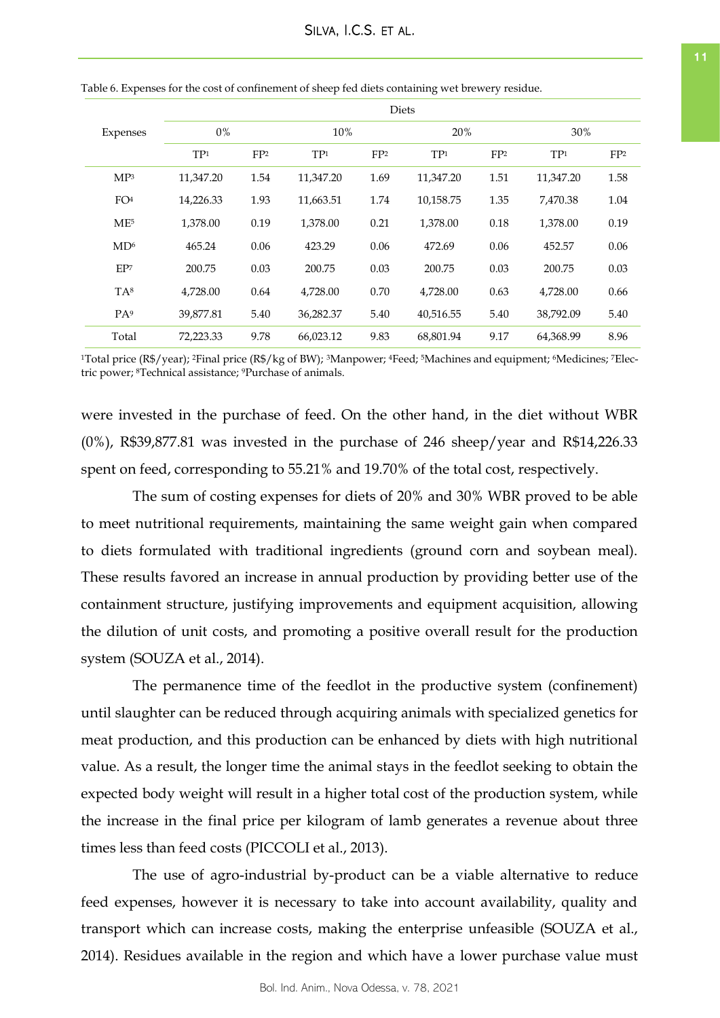|          |                 |                 |                 |                 |                 | Diets           |                 |                 |                 |  |
|----------|-----------------|-----------------|-----------------|-----------------|-----------------|-----------------|-----------------|-----------------|-----------------|--|
| Expenses |                 | $0\%$           |                 |                 | 10%             |                 | 20%             |                 | 30%             |  |
|          |                 | TP <sub>1</sub> | FP <sub>2</sub> | TP <sub>1</sub> | FP <sub>2</sub> | TP <sub>1</sub> | FP <sub>2</sub> | TP <sub>1</sub> | FP <sub>2</sub> |  |
|          | MP <sup>3</sup> | 11,347.20       | 1.54            | 11,347.20       | 1.69            | 11,347.20       | 1.51            | 11,347.20       | 1.58            |  |
|          | FO <sup>4</sup> | 14,226.33       | 1.93            | 11,663.51       | 1.74            | 10,158.75       | 1.35            | 7,470.38        | 1.04            |  |
|          | ME <sup>5</sup> | 1,378.00        | 0.19            | 1,378.00        | 0.21            | 1,378.00        | 0.18            | 1,378.00        | 0.19            |  |
|          | MD <sup>6</sup> | 465.24          | 0.06            | 423.29          | 0.06            | 472.69          | 0.06            | 452.57          | 0.06            |  |
|          | EP <sub>7</sub> | 200.75          | 0.03            | 200.75          | 0.03            | 200.75          | 0.03            | 200.75          | 0.03            |  |
|          | TA <sup>8</sup> | 4,728.00        | 0.64            | 4,728.00        | 0.70            | 4,728.00        | 0.63            | 4,728.00        | 0.66            |  |
|          | PA <sup>9</sup> | 39,877.81       | 5.40            | 36,282.37       | 5.40            | 40,516.55       | 5.40            | 38,792.09       | 5.40            |  |
|          | Total           | 72,223.33       | 9.78            | 66,023.12       | 9.83            | 68,801.94       | 9.17            | 64,368.99       | 8.96            |  |

<span id="page-10-0"></span>Table 6. Expenses for the cost of confinement of sheep fed diets containing wet brewery residue.

1Total price (R\$/year); 2Final price (R\$/kg of BW); 3Manpower; 4Feed; 5Machines and equipment; 6Medicines; 7Electric power; 8Technical assistance; 9Purchase of animals.

were invested in the purchase of feed. On the other hand, in the diet without WBR (0%), R\$39,877.81 was invested in the purchase of 246 sheep/year and R\$14,226.33 spent on feed, corresponding to 55.21% and 19.70% of the total cost, respectively.

The sum of costing expenses for diets of 20% and 30% WBR proved to be able to meet nutritional requirements, maintaining the same weight gain when compared to diets formulated with traditional ingredients (ground corn and soybean meal). These results favored an increase in annual production by providing better use of the containment structure, justifying improvements and equipment acquisition, allowing the dilution of unit costs, and promoting a positive overall result for the production system (SOUZA et al., 2014).

The permanence time of the feedlot in the productive system (confinement) until slaughter can be reduced through acquiring animals with specialized genetics for meat production, and this production can be enhanced by diets with high nutritional value. As a result, the longer time the animal stays in the feedlot seeking to obtain the expected body weight will result in a higher total cost of the production system, while the increase in the final price per kilogram of lamb generates a revenue about three times less than feed costs (PICCOLI et al., 2013).

The use of agro-industrial by-product can be a viable alternative to reduce feed expenses, however it is necessary to take into account availability, quality and transport which can increase costs, making the enterprise unfeasible (SOUZA et al., 2014). Residues available in the region and which have a lower purchase value must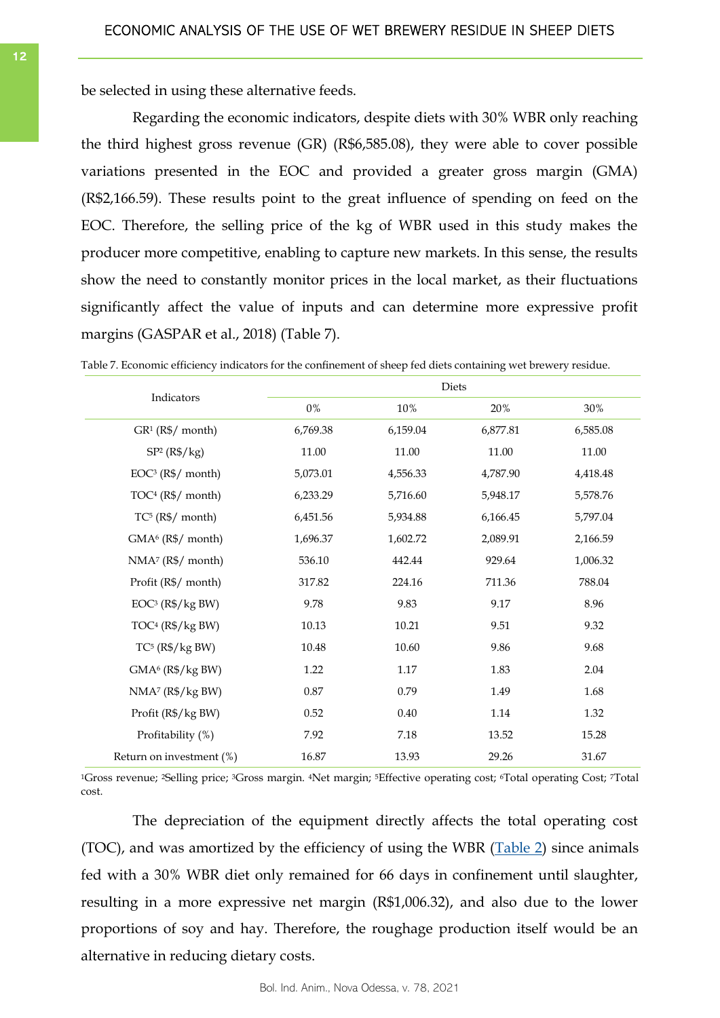be selected in using these alternative feeds.

Regarding the economic indicators, despite diets with 30% WBR only reaching the third highest gross revenue (GR) (R\$6,585.08), they were able to cover possible variations presented in the EOC and provided a greater gross margin (GMA) (R\$2,166.59). These results point to the great influence of spending on feed on the EOC. Therefore, the selling price of the kg of WBR used in this study makes the producer more competitive, enabling to capture new markets. In this sense, the results show the need to constantly monitor prices in the local market, as their fluctuations significantly affect the value of inputs and can determine more expressive profit margins (GASPAR et al., 2018) (Table 7).

|                                          |          |          | Diets    |          |
|------------------------------------------|----------|----------|----------|----------|
| Indicators                               | $0\%$    | 10%      | 20%      | 30%      |
| $GR1$ (R\$/ month)                       | 6,769.38 | 6,159.04 | 6,877.81 | 6,585.08 |
| SP <sup>2</sup> (R <sup>4</sup> /kg)     | 11.00    | 11.00    | 11.00    | 11.00    |
| $EOC3$ (R\$/ month)                      | 5,073.01 | 4,556.33 | 4,787.90 | 4,418.48 |
| $TOC4 (R6/7 month)$                      | 6,233.29 | 5,716.60 | 5,948.17 | 5,578.76 |
| $TC5$ (R\$/ month)                       | 6,451.56 | 5,934.88 | 6,166.45 | 5,797.04 |
| GMA <sup>6</sup> (R\$/ month)            | 1,696.37 | 1,602.72 | 2,089.91 | 2,166.59 |
| $NMA7 (R6/7 month)$                      | 536.10   | 442.44   | 929.64   | 1,006.32 |
| Profit (R\$/ month)                      | 317.82   | 224.16   | 711.36   | 788.04   |
| $EOC3$ ( $R\$/kgBW$ )                    | 9.78     | 9.83     | 9.17     | 8.96     |
| TOC <sup>4</sup> (R <sup>4</sup> /kg BW) | 10.13    | 10.21    | 9.51     | 9.32     |
| $TC5$ (R\$/kg BW)                        | 10.48    | 10.60    | 9.86     | 9.68     |
| GMA <sup>6</sup> (R\$/kg BW)             | 1.22     | 1.17     | 1.83     | 2.04     |
| NMA <sup>7</sup> (R <sup>6</sup> /kg BW) | 0.87     | 0.79     | 1.49     | 1.68     |
| Profit (R\$/kg BW)                       | 0.52     | 0.40     | 1.14     | 1.32     |
| Profitability (%)                        | 7.92     | 7.18     | 13.52    | 15.28    |
| Return on investment (%)                 | 16.87    | 13.93    | 29.26    | 31.67    |

Table 7. Economic efficiency indicators for the confinement of sheep fed diets containing wet brewery residue.

<sup>1</sup>Gross revenue; 2Selling price; 3Gross margin. 4Net margin; 5Effective operating cost; 6Total operating Cost; 7Total cost.

The depreciation of the equipment directly affects the total operating cost (TOC), and was amortized by the efficiency of using the WBR  $(Table 2)$  since animals fed with a 30% WBR diet only remained for 66 days in confinement until slaughter, resulting in a more expressive net margin (R\$1,006.32), and also due to the lower proportions of soy and hay. Therefore, the roughage production itself would be an alternative in reducing dietary costs.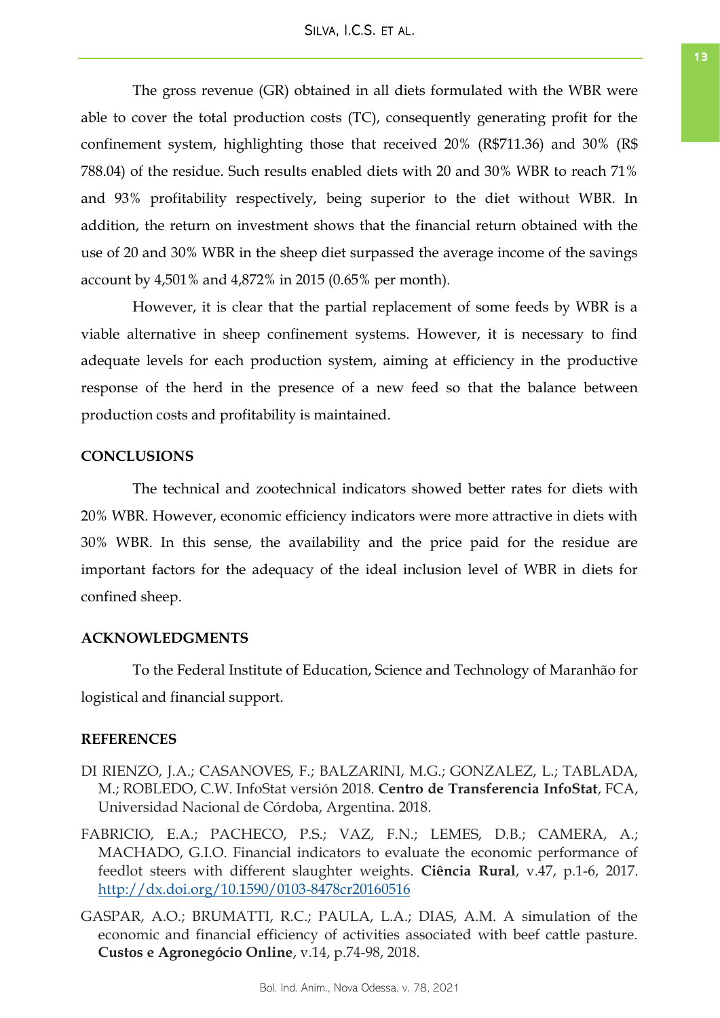The gross revenue (GR) obtained in all diets formulated with the WBR were able to cover the total production costs (TC), consequently generating profit for the confinement system, highlighting those that received 20% (R\$711.36) and 30% (R\$ 788.04) of the residue. Such results enabled diets with 20 and 30% WBR to reach 71% and 93% profitability respectively, being superior to the diet without WBR. In addition, the return on investment shows that the financial return obtained with the use of 20 and 30% WBR in the sheep diet surpassed the average income of the savings account by 4,501% and 4,872% in 2015 (0.65% per month).

However, it is clear that the partial replacement of some feeds by WBR is a viable alternative in sheep confinement systems. However, it is necessary to find adequate levels for each production system, aiming at efficiency in the productive response of the herd in the presence of a new feed so that the balance between production costs and profitability is maintained.

# **CONCLUSIONS**

The technical and zootechnical indicators showed better rates for diets with 20% WBR. However, economic efficiency indicators were more attractive in diets with 30% WBR. In this sense, the availability and the price paid for the residue are important factors for the adequacy of the ideal inclusion level of WBR in diets for confined sheep.

# **ACKNOWLEDGMENTS**

To the Federal Institute of Education, Science and Technology of Maranhão for logistical and financial support.

## **REFERENCES**

- DI RIENZO, J.A.; CASANOVES, F.; BALZARINI, M.G.; GONZALEZ, L.; TABLADA, M.; ROBLEDO, C.W. InfoStat versión 2018. **Centro de Transferencia InfoStat**, FCA, Universidad Nacional de Córdoba, Argentina. 2018.
- FABRICIO, E.A.; PACHECO, P.S.; VAZ, F.N.; LEMES, D.B.; CAMERA, A.; MACHADO, G.I.O. Financial indicators to evaluate the economic performance of feedlot steers with different slaughter weights. **Ciência Rural**, v.47, p.1-6, 2017. <http://dx.doi.org/10.1590/0103-8478cr20160516>
- GASPAR, A.O.; BRUMATTI, R.C.; PAULA, L.A.; DIAS, A.M. A simulation of the economic and financial efficiency of activities associated with beef cattle pasture. **Custos e Agronegócio Online**, v.14, p.74-98, 2018.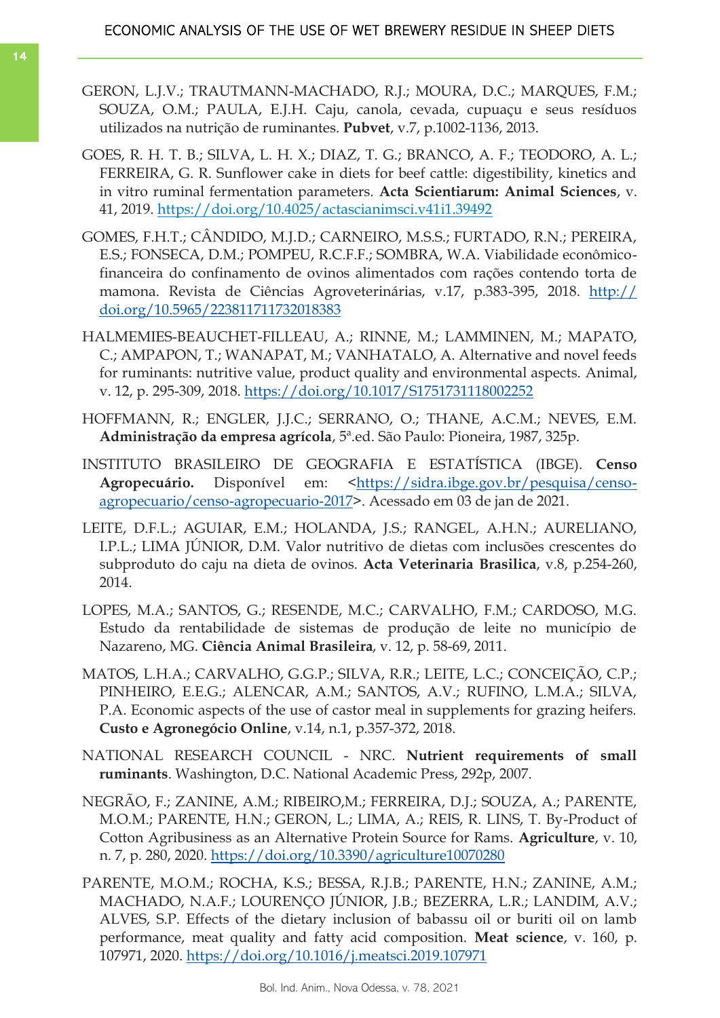- GERON, L.J.V.; TRAUTMANN-MACHADO, R.J.; MOURA, D.C.; MARQUES, F.M.; SOUZA, O.M.; PAULA, E.J.H. Caju, canola, cevada, cupuaçu e seus resíduos utilizados na nutrição de ruminantes. **Pubvet**, v.7, p.1002-1136, 2013.
- GOES, R. H. T. B.; SILVA, L. H. X.; DIAZ, T. G.; BRANCO, A. F.; TEODORO, A. L.; FERREIRA, G. R. Sunflower cake in diets for beef cattle: digestibility, kinetics and in vitro ruminal fermentation parameters. **Acta Scientiarum: Animal Sciences**, v. 41, 2019.<https://doi.org/10.4025/actascianimsci.v41i1.39492>
- GOMES, F.H.T.; CÂNDIDO, M.J.D.; CARNEIRO, M.S.S.; FURTADO, R.N.; PEREIRA, E.S.; FONSECA, D.M.; POMPEU, R.C.F.F.; SOMBRA, W.A. Viabilidade econômicofinanceira do confinamento de ovinos alimentados com rações contendo torta de mamona. Revista de Ciências Agroveterinárias, v.17, p.383-395, 2018. [http://](https://doi.org/10.5965/223811711732018383) [doi.org/10.5965/223811711732018383](https://doi.org/10.5965/223811711732018383)
- HALMEMIES-BEAUCHET-FILLEAU, A.; RINNE, M.; LAMMINEN, M.; MAPATO, C.; AMPAPON, T.; WANAPAT, M.; VANHATALO, A. Alternative and novel feeds for ruminants: nutritive value, product quality and environmental aspects. Animal, v. 12, p. 295-309, 2018.<https://doi.org/10.1017/S1751731118002252>
- HOFFMANN, R.; ENGLER, J.J.C.; SERRANO, O.; THANE, A.C.M.; NEVES, E.M. **Administração da empresa agrícola**, 5ª.ed. São Paulo: Pioneira, 1987, 325p.
- INSTITUTO BRASILEIRO DE GEOGRAFIA E ESTATÍSTICA (IBGE). **Censo**  Agropecuário. Disponível em: <[https://sidra.ibge.gov.br/pesquisa/censo](https://sidra.ibge.gov.br/pesquisa/censo-agropecuario/censo-agropecuario-2017)[agropecuario/censo-agropecuario-2017>](https://sidra.ibge.gov.br/pesquisa/censo-agropecuario/censo-agropecuario-2017). Acessado em 03 de jan de 2021.
- LEITE, D.F.L.; AGUIAR, E.M.; HOLANDA, J.S.; RANGEL, A.H.N.; AURELIANO, I.P.L.; LIMA JÚNIOR, D.M. Valor nutritivo de dietas com inclusões crescentes do subproduto do caju na dieta de ovinos. **Acta Veterinaria Brasilica**, v.8, p.254-260, 2014.
- LOPES, M.A.; SANTOS, G.; RESENDE, M.C.; CARVALHO, F.M.; CARDOSO, M.G. Estudo da rentabilidade de sistemas de produção de leite no município de Nazareno, MG. **Ciência Animal Brasileira**, v. 12, p. 58-69, 2011.
- MATOS, L.H.A.; CARVALHO, G.G.P.; SILVA, R.R.; LEITE, L.C.; CONCEIÇÃO, C.P.; PINHEIRO, E.E.G.; ALENCAR, A.M.; SANTOS, A.V.; RUFINO, L.M.A.; SILVA, P.A. Economic aspects of the use of castor meal in supplements for grazing heifers. **Custo e Agronegócio Online**, v.14, n.1, p.357-372, 2018.
- NATIONAL RESEARCH COUNCIL NRC. **Nutrient requirements of small ruminants**. Washington, D.C. National Academic Press, 292p, 2007.
- NEGRÃO, F.; ZANINE, A.M.; RIBEIRO,M.; FERREIRA, D.J.; SOUZA, A.; PARENTE, M.O.M.; PARENTE, H.N.; GERON, L.; LIMA, A.; REIS, R. LINS, T. By-Product of Cotton Agribusiness as an Alternative Protein Source for Rams. **Agriculture**, v. 10, n. 7, p. 280, 2020.<https://doi.org/10.3390/agriculture10070280>
- PARENTE, M.O.M.; ROCHA, K.S.; BESSA, R.J.B.; PARENTE, H.N.; ZANINE, A.M.; MACHADO, N.A.F.; LOURENÇO JÚNIOR, J.B.; BEZERRA, L.R.; LANDIM, A.V.; ALVES, S.P. Effects of the dietary inclusion of babassu oil or buriti oil on lamb performance, meat quality and fatty acid composition. **Meat science**, v. 160, p. 107971, 2020.<https://doi.org/10.1016/j.meatsci.2019.107971>